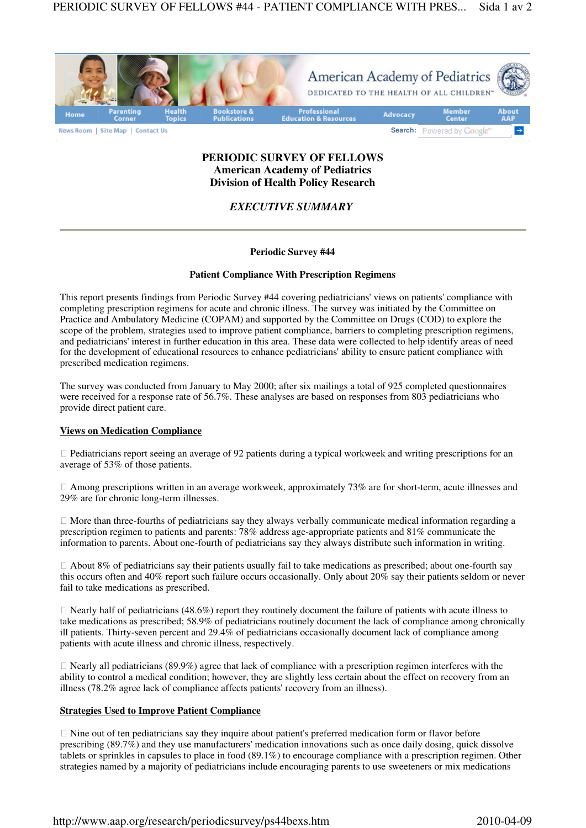

# **PERIODIC SURVEY OF FELLOWS American Academy of Pediatrics Division of Health Policy Research**

# *EXECUTIVE SUMMARY*

## **Periodic Survey #44**

## **Patient Compliance With Prescription Regimens**

This report presents findings from Periodic Survey #44 covering pediatricians' views on patients' compliance with completing prescription regimens for acute and chronic illness. The survey was initiated by the Committee on Practice and Ambulatory Medicine (COPAM) and supported by the Committee on Drugs (COD) to explore the scope of the problem, strategies used to improve patient compliance, barriers to completing prescription regimens, and pediatricians' interest in further education in this area. These data were collected to help identify areas of need for the development of educational resources to enhance pediatricians' ability to ensure patient compliance with prescribed medication regimens.

The survey was conducted from January to May 2000; after six mailings a total of 925 completed questionnaires were received for a response rate of 56.7%. These analyses are based on responses from 803 pediatricians who provide direct patient care.

#### **Views on Medication Compliance**

 Pediatricians report seeing an average of 92 patients during a typical workweek and writing prescriptions for an average of 53% of those patients.

 Among prescriptions written in an average workweek, approximately 73% are for short-term, acute illnesses and 29% are for chronic long-term illnesses.

 More than three-fourths of pediatricians say they always verbally communicate medical information regarding a prescription regimen to patients and parents: 78% address age-appropriate patients and 81% communicate the information to parents. About one-fourth of pediatricians say they always distribute such information in writing.

 About 8% of pediatricians say their patients usually fail to take medications as prescribed; about one-fourth say this occurs often and 40% report such failure occurs occasionally. Only about 20% say their patients seldom or never fail to take medications as prescribed.

 Nearly half of pediatricians (48.6%) report they routinely document the failure of patients with acute illness to take medications as prescribed; 58.9% of pediatricians routinely document the lack of compliance among chronically ill patients. Thirty-seven percent and 29.4% of pediatricians occasionally document lack of compliance among patients with acute illness and chronic illness, respectively.

 Nearly all pediatricians (89.9%) agree that lack of compliance with a prescription regimen interferes with the ability to control a medical condition; however, they are slightly less certain about the effect on recovery from an illness (78.2% agree lack of compliance affects patients' recovery from an illness).

## **Strategies Used to Improve Patient Compliance**

 Nine out of ten pediatricians say they inquire about patient's preferred medication form or flavor before prescribing (89.7%) and they use manufacturers' medication innovations such as once daily dosing, quick dissolve tablets or sprinkles in capsules to place in food (89.1%) to encourage compliance with a prescription regimen. Other strategies named by a majority of pediatricians include encouraging parents to use sweeteners or mix medications